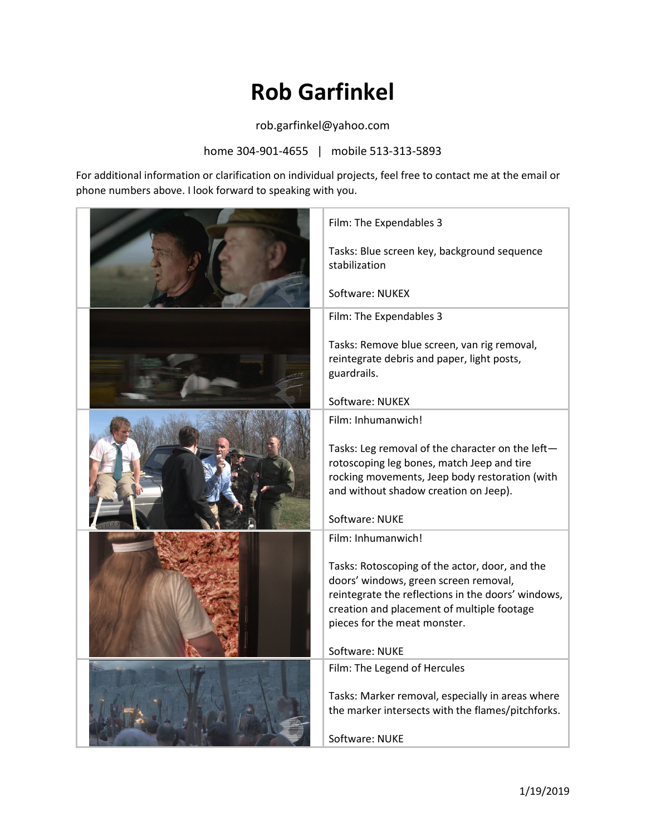## **Rob Garfinkel**

rob.garfinkel@yahoo.com

home 304-901-4655 | mobile 513-313-5893

For additional information or clarification on individual projects, feel free to contact me at the email or phone numbers above. I look forward to speaking with you.

| Film: The Expendables 3                                                                                                                                                                                                     |
|-----------------------------------------------------------------------------------------------------------------------------------------------------------------------------------------------------------------------------|
| Tasks: Blue screen key, background sequence<br>stabilization                                                                                                                                                                |
| Software: NUKEX                                                                                                                                                                                                             |
| Film: The Expendables 3                                                                                                                                                                                                     |
| Tasks: Remove blue screen, van rig removal,<br>reintegrate debris and paper, light posts,<br>guardrails.                                                                                                                    |
| Software: NUKEX                                                                                                                                                                                                             |
| Film: Inhumanwich!                                                                                                                                                                                                          |
| Tasks: Leg removal of the character on the left-<br>rotoscoping leg bones, match Jeep and tire<br>rocking movements, Jeep body restoration (with<br>and without shadow creation on Jeep).                                   |
| Software: NUKE                                                                                                                                                                                                              |
| Film: Inhumanwich!                                                                                                                                                                                                          |
| Tasks: Rotoscoping of the actor, door, and the<br>doors' windows, green screen removal,<br>reintegrate the reflections in the doors' windows,<br>creation and placement of multiple footage<br>pieces for the meat monster. |
| Software: NUKE                                                                                                                                                                                                              |
| Film: The Legend of Hercules<br>Tasks: Marker removal, especially in areas where<br>the marker intersects with the flames/pitchforks.<br>Software: NUKE                                                                     |
|                                                                                                                                                                                                                             |